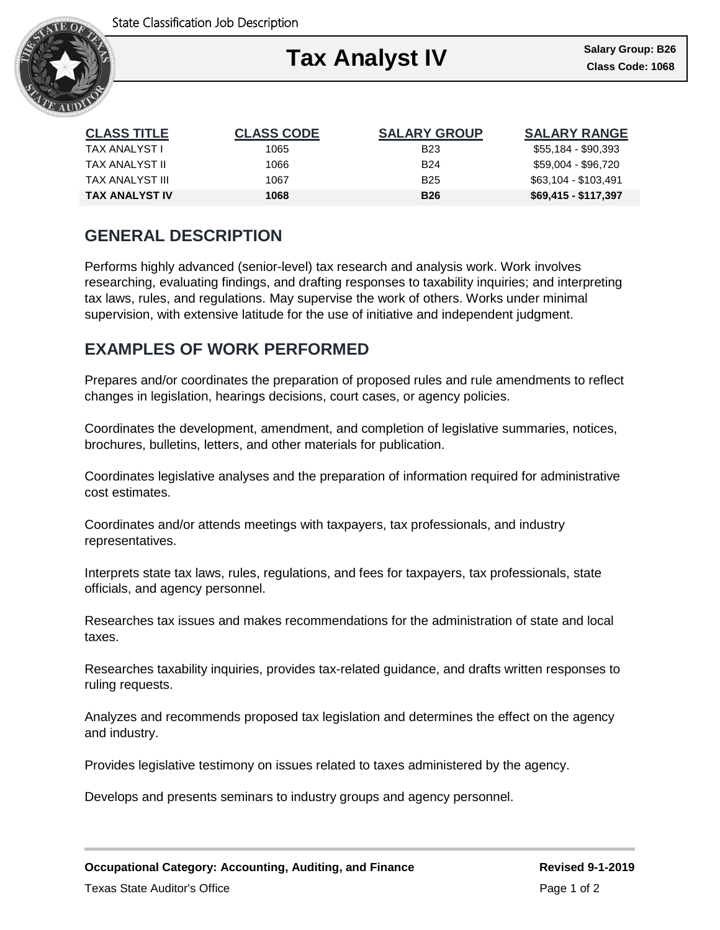

| <b>CLASS TITLE</b> | <b>CLASS CODE</b> | <b>SALARY GROUP</b> | <b>SALARY RANGE</b>  |
|--------------------|-------------------|---------------------|----------------------|
| TAX ANALYST I      | 1065              | <b>B23</b>          | \$55,184 - \$90,393  |
| TAX ANALYST II     | 1066              | <b>B24</b>          | \$59,004 - \$96,720  |
| TAX ANALYST III    | 1067              | <b>B25</b>          | \$63,104 - \$103,491 |
| TAX ANALYST IV     | 1068              | <b>B26</b>          | $$69,415 - $117,397$ |

### **GENERAL DESCRIPTION**

Performs highly advanced (senior-level) tax research and analysis work. Work involves researching, evaluating findings, and drafting responses to taxability inquiries; and interpreting tax laws, rules, and regulations. May supervise the work of others. Works under minimal supervision, with extensive latitude for the use of initiative and independent judgment.

# **EXAMPLES OF WORK PERFORMED**

Prepares and/or coordinates the preparation of proposed rules and rule amendments to reflect changes in legislation, hearings decisions, court cases, or agency policies.

Coordinates the development, amendment, and completion of legislative summaries, notices, brochures, bulletins, letters, and other materials for publication.

Coordinates legislative analyses and the preparation of information required for administrative cost estimates.

Coordinates and/or attends meetings with taxpayers, tax professionals, and industry representatives.

Interprets state tax laws, rules, regulations, and fees for taxpayers, tax professionals, state officials, and agency personnel.

Researches tax issues and makes recommendations for the administration of state and local taxes.

Researches taxability inquiries, provides tax-related guidance, and drafts written responses to ruling requests.

Analyzes and recommends proposed tax legislation and determines the effect on the agency and industry.

Provides legislative testimony on issues related to taxes administered by the agency.

Develops and presents seminars to industry groups and agency personnel.